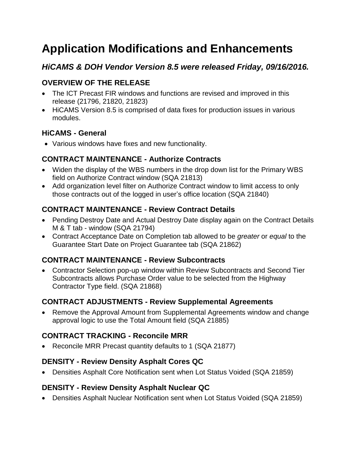# **Application Modifications and Enhancements**

## *HiCAMS & DOH Vendor Version 8.5 were released Friday, 09/16/2016.*

## **OVERVIEW OF THE RELEASE**

- The ICT Precast FIR windows and functions are revised and improved in this release (21796, 21820, 21823)
- HiCAMS Version 8.5 is comprised of data fixes for production issues in various modules.

## **HiCAMS - General**

Various windows have fixes and new functionality.

## **CONTRACT MAINTENANCE - Authorize Contracts**

- Widen the display of the WBS numbers in the drop down list for the Primary WBS field on Authorize Contract window (SQA 21813)
- Add organization level filter on Authorize Contract window to limit access to only those contracts out of the logged in user's office location (SQA 21840)

#### **CONTRACT MAINTENANCE - Review Contract Details**

- Pending Destroy Date and Actual Destroy Date display again on the Contract Details M & T tab - window (SQA 21794)
- Contract Acceptance Date on Completion tab allowed to be *greater* or *equal* to the Guarantee Start Date on Project Guarantee tab (SQA 21862)

## **CONTRACT MAINTENANCE - Review Subcontracts**

 Contractor Selection pop-up window within Review Subcontracts and Second Tier Subcontracts allows Purchase Order value to be selected from the Highway Contractor Type field. (SQA 21868)

## **CONTRACT ADJUSTMENTS - Review Supplemental Agreements**

• Remove the Approval Amount from Supplemental Agreements window and change approval logic to use the Total Amount field (SQA 21885)

#### **CONTRACT TRACKING - Reconcile MRR**

• Reconcile MRR Precast quantity defaults to 1 (SQA 21877)

## **DENSITY - Review Density Asphalt Cores QC**

Densities Asphalt Core Notification sent when Lot Status Voided (SQA 21859)

#### **DENSITY - Review Density Asphalt Nuclear QC**

Densities Asphalt Nuclear Notification sent when Lot Status Voided (SQA 21859)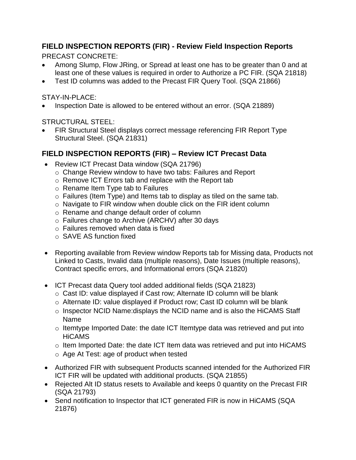## **FIELD INSPECTION REPORTS (FIR) - Review Field Inspection Reports**

PRECAST CONCRETE:

- Among Slump, Flow JRing, or Spread at least one has to be greater than 0 and at least one of these values is required in order to Authorize a PC FIR. (SQA 21818)
- Test ID columns was added to the Precast FIR Query Tool. (SQA 21866)

STAY-IN-PLACE:

Inspection Date is allowed to be entered without an error. (SQA 21889)

STRUCTURAL STEEL:

 FIR Structural Steel displays correct message referencing FIR Report Type Structural Steel. (SQA 21831)

## **FIELD INSPECTION REPORTS (FIR) – Review ICT Precast Data**

- Review ICT Precast Data window (SQA 21796)
	- o Change Review window to have two tabs: Failures and Report
	- o Remove ICT Errors tab and replace with the Report tab
	- o Rename Item Type tab to Failures
	- o Failures (Item Type) and Items tab to display as tiled on the same tab.
	- o Navigate to FIR window when double click on the FIR ident column
	- o Rename and change default order of column
	- o Failures change to Archive (ARCHV) after 30 days
	- o Failures removed when data is fixed
	- o SAVE AS function fixed
- Reporting available from Review window Reports tab for Missing data, Products not Linked to Casts, Invalid data (multiple reasons), Date Issues (multiple reasons), Contract specific errors, and Informational errors (SQA 21820)
- ICT Precast data Query tool added additional fields (SQA 21823)
	- o Cast ID: value displayed if Cast row; Alternate ID column will be blank
	- o Alternate ID: value displayed if Product row; Cast ID column will be blank
	- o Inspector NCID Name:displays the NCID name and is also the HiCAMS Staff Name
	- o Itemtype Imported Date: the date ICT Itemtype data was retrieved and put into HiCAMS
	- o Item Imported Date: the date ICT Item data was retrieved and put into HiCAMS
	- o Age At Test: age of product when tested
- Authorized FIR with subsequent Products scanned intended for the Authorized FIR ICT FIR will be updated with additional products. (SQA 21855)
- Rejected Alt ID status resets to Available and keeps 0 quantity on the Precast FIR (SQA 21793)
- Send notification to Inspector that ICT generated FIR is now in HiCAMS (SQA 21876)